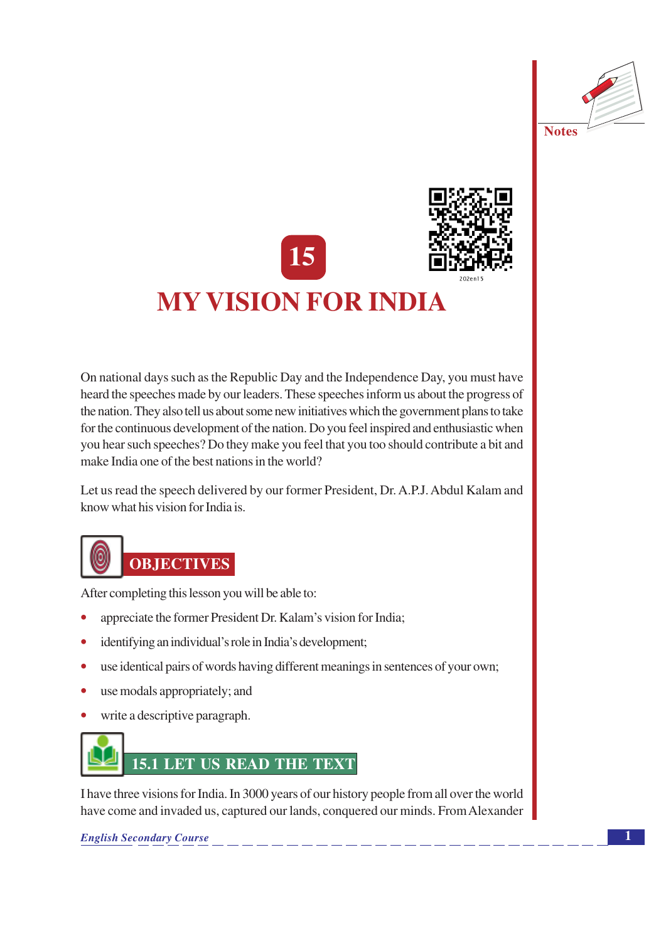





# **MY VISION FOR INDIA**

On national days such as the Republic Day and the Independence Day, you must have heard the speeches made by our leaders. These speeches inform us about the progress of the nation. They also tell us about some new initiatives which the government plans to take for the continuous development of the nation. Do you feel inspired and enthusiastic when you hear such speeches? Do they make you feel that you too should contribute a bit and make India one of the best nations in the world?

Let us read the speech delivered by our former President, Dr. A.P.J. Abdul Kalam and know what his vision for India is.



After completing this lesson you will be able to:

- appreciate the former President Dr. Kalam's vision for India:
- identifying an individual's role in India's development;
- use identical pairs of words having different meanings in sentences of your own;  $\bullet$
- use modals appropriately; and  $\bullet$
- write a descriptive paragraph.



I have three visions for India. In 3000 years of our history people from all over the world have come and invaded us, captured our lands, conquered our minds. From Alexander

**English Secondary Course**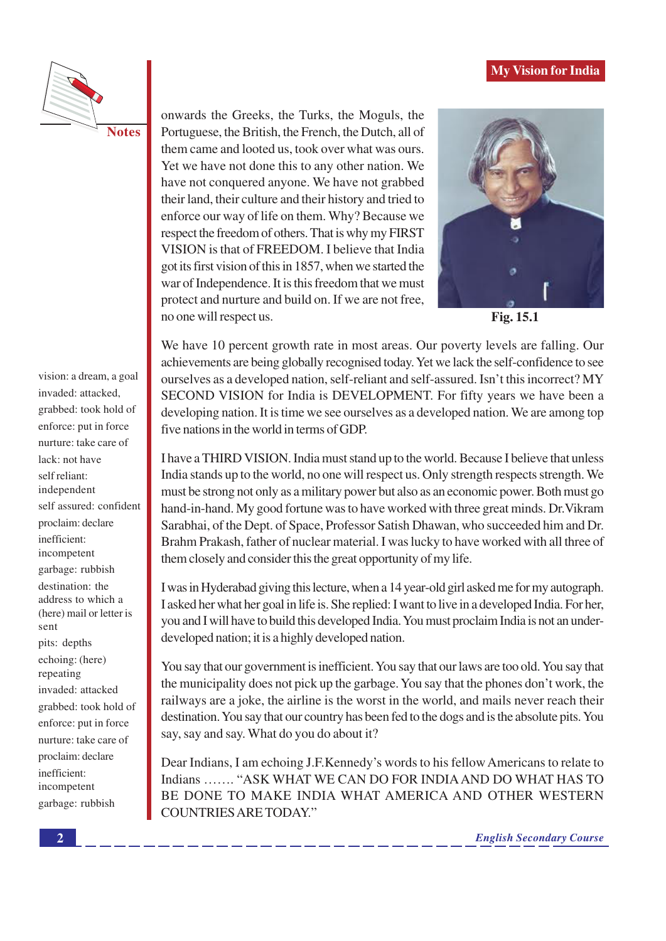



**Notes** 

onwards the Greeks, the Turks, the Moguls, the Portuguese, the British, the French, the Dutch, all of them came and looted us, took over what was ours. Yet we have not done this to any other nation. We have not conquered anyone. We have not grabbed their land, their culture and their history and tried to enforce our way of life on them. Why? Because we respect the freedom of others. That is why my FIRST VISION is that of FREEDOM. I believe that India got its first vision of this in 1857, when we started the war of Independence. It is this freedom that we must protect and nurture and build on. If we are not free, no one will respect us.



Fig. 15.1

We have 10 percent growth rate in most areas. Our poverty levels are falling. Our achievements are being globally recognised today. Yet we lack the self-confidence to see ourselves as a developed nation, self-reliant and self-assured. Isn't this incorrect? MY SECOND VISION for India is DEVELOPMENT. For fifty years we have been a developing nation. It is time we see ourselves as a developed nation. We are among top five nations in the world in terms of GDP.

I have a THIRD VISION. India must stand up to the world. Because I believe that unless India stands up to the world, no one will respect us. Only strength respects strength. We must be strong not only as a military power but also as an economic power. Both must go hand-in-hand. My good fortune was to have worked with three great minds. Dr. Vikram Sarabhai, of the Dept. of Space, Professor Satish Dhawan, who succeeded him and Dr. Brahm Prakash, father of nuclear material. I was lucky to have worked with all three of them closely and consider this the great opportunity of my life.

I was in Hyderabad giving this lecture, when a 14 year-old girl asked me for my autograph. I asked her what her goal in life is. She replied: I want to live in a developed India. For her, you and I will have to build this developed India. You must proclaim India is not an underdeveloped nation; it is a highly developed nation.

You say that our government is inefficient. You say that our laws are too old. You say that the municipality does not pick up the garbage. You say that the phones don't work, the railways are a joke, the airline is the worst in the world, and mails never reach their destination. You say that our country has been fed to the dogs and is the absolute pits. You say, say and say. What do you do about it?

Dear Indians, I am echoing J.F.Kennedy's words to his fellow Americans to relate to Indians ....... "ASK WHAT WE CAN DO FOR INDIA AND DO WHAT HAS TO BE DONE TO MAKE INDIA WHAT AMERICA AND OTHER WESTERN **COUNTRIES ARE TODAY."** 

grabbed: took hold of enforce: put in force nurture: take care of lack: not have self reliant: independent self assured: confident proclaim: declare inefficient: incompetent garbage: rubbish destination: the address to which a (here) mail or letter is sent pits: depths echoing: (here) repeating invaded: attacked grabbed: took hold of enforce: put in force nurture: take care of proclaim: declare inefficient:

vision: a dream, a goal

invaded: attacked.

incompetent

garbage: rubbish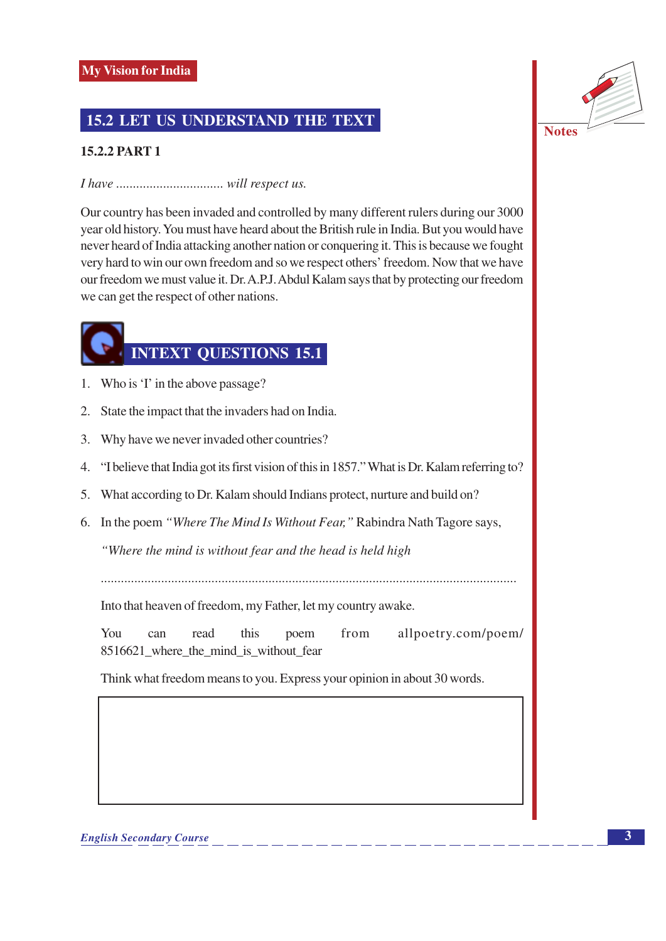### **15.2 LET US UNDERSTAND THE TEXT**

### **15.2.2 PART 1**

### 

Our country has been invaded and controlled by many different rulers during our 3000 year old history. You must have heard about the British rule in India. But you would have never heard of India attacking another nation or conquering it. This is because we fought very hard to win our own freedom and so we respect others' freedom. Now that we have our freedom we must value it. Dr. A.P.J. Abdul Kalam says that by protecting our freedom we can get the respect of other nations.

## **INTEXT QUESTIONS 15.1**

- 1. Who is 'I' in the above passage?
- 2. State the impact that the invaders had on India.
- 3. Why have we never invaded other countries?
- 4. "I believe that India got its first vision of this in 1857." What is Dr. Kalam referring to?
- 5. What according to Dr. Kalam should Indians protect, nurture and build on?
- 6. In the poem "Where The Mind Is Without Fear," Rabindra Nath Tagore says,

"Where the mind is without fear and the head is held high

Into that heaven of freedom, my Father, let my country awake.

You can read this poem from allpoetry.com/poem/ 8516621\_where\_the\_mind\_is\_without\_fear

Think what freedom means to you. Express your opinion in about 30 words.

**Notes**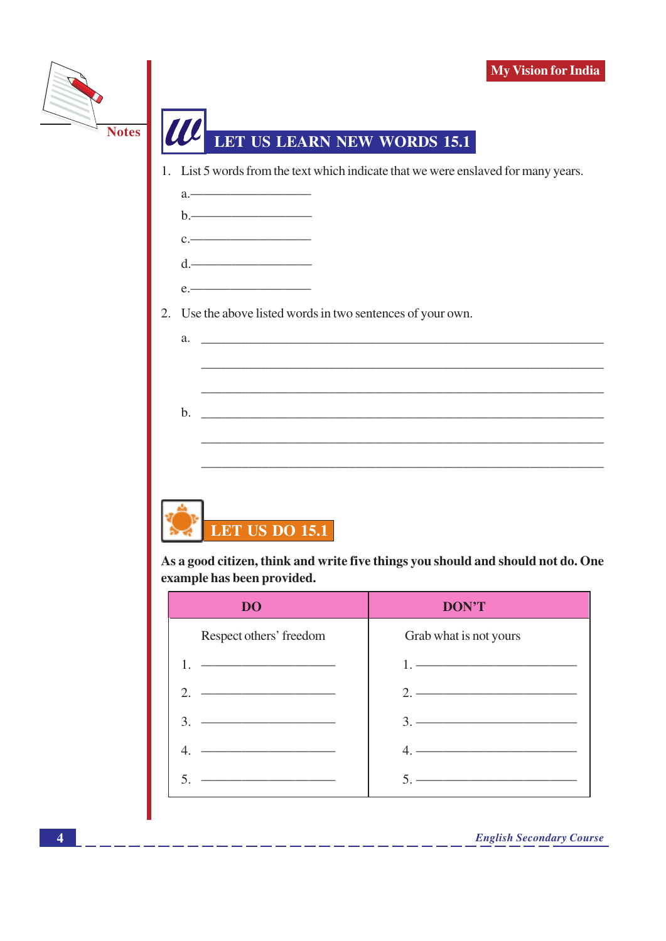



As a good citizen, think and write five things you should and should not do. One example has been provided.

| DO                                                                                                                                                                                                                                   | <b>DON'T</b>                                                                                                                                                                                                                                                                                                           |
|--------------------------------------------------------------------------------------------------------------------------------------------------------------------------------------------------------------------------------------|------------------------------------------------------------------------------------------------------------------------------------------------------------------------------------------------------------------------------------------------------------------------------------------------------------------------|
| Respect others' freedom                                                                                                                                                                                                              | Grab what is not yours                                                                                                                                                                                                                                                                                                 |
|                                                                                                                                                                                                                                      | $1.$ $\frac{1}{2}$ $\frac{1}{2}$ $\frac{1}{2}$ $\frac{1}{2}$ $\frac{1}{2}$ $\frac{1}{2}$ $\frac{1}{2}$ $\frac{1}{2}$ $\frac{1}{2}$ $\frac{1}{2}$ $\frac{1}{2}$ $\frac{1}{2}$ $\frac{1}{2}$ $\frac{1}{2}$ $\frac{1}{2}$ $\frac{1}{2}$ $\frac{1}{2}$ $\frac{1}{2}$ $\frac{1}{2}$ $\frac{1}{2}$ $\frac{1}{2}$ $\frac{1}{$ |
| <u> Andreas Andreas Andreas Andreas Andreas Andreas Andreas Andreas Andreas Andreas Andreas Andreas Andreas Andreas Andreas Andreas Andreas Andreas Andreas Andreas Andreas Andreas Andreas Andreas Andreas Andreas Andreas Andr</u> | $2.$ ————————————————————                                                                                                                                                                                                                                                                                              |
| <u> 1989 - Johann John Stone, fransk politik (</u><br>3.                                                                                                                                                                             |                                                                                                                                                                                                                                                                                                                        |
|                                                                                                                                                                                                                                      | <u> 2000 - Jan James James Jan James James James James James James James James James James James James James Jam</u>                                                                                                                                                                                                   |
|                                                                                                                                                                                                                                      | <u> 1989 - Johann Barn, mars an t-Amerikaansk politiker (</u>                                                                                                                                                                                                                                                          |

\_ \_\_ \_\_ \_\_ \_\_ \_\_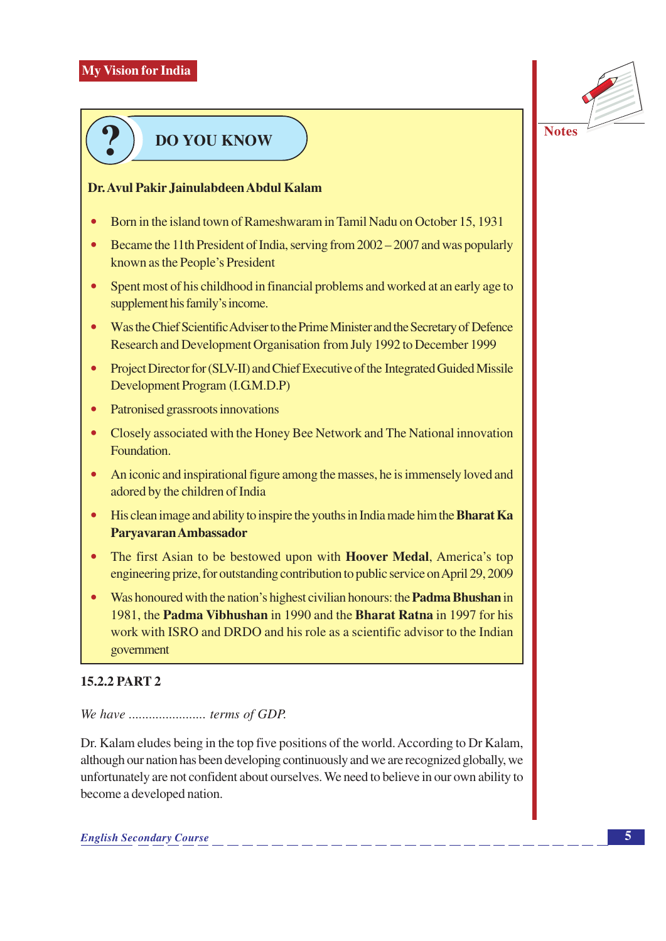

## **DO YOU KNOW**

### Dr. Avul Pakir Jainulabdeen Abdul Kalam

- Born in the island town of Rameshwaram in Tamil Nadu on October 15, 1931
- Became the 11th President of India, serving from 2002 2007 and was popularly known as the People's President
- Spent most of his childhood in financial problems and worked at an early age to supplement his family's income.
- Was the Chief Scientific Adviser to the Prime Minister and the Secretary of Defence Research and Development Organisation from July 1992 to December 1999
- $\bullet$ Project Director for (SLV-II) and Chief Executive of the Integrated Guided Missile Development Program (I.G.M.D.P)
- $\bullet$ Patronised grassroots innovations
- Closely associated with the Honey Bee Network and The National innovation Foundation.
- An iconic and inspirational figure among the masses, he is immensely loved and adored by the children of India
- His clean image and ability to inspire the youths in India made him the Bharat Ka Parvavaran Ambassador
- The first Asian to be bestowed upon with **Hoover Medal**, America's top engineering prize, for outstanding contribution to public service on April 29, 2009
- $\bullet$ Was honoured with the nation's highest civilian honours: the **Padma Bhushan** in 1981, the **Padma Vibhushan** in 1990 and the **Bharat Ratna** in 1997 for his work with ISRO and DRDO and his role as a scientific advisor to the Indian government

### $1522$  PART  $2$

### 

Dr. Kalam eludes being in the top five positions of the world. According to Dr Kalam, although our nation has been developing continuously and we are recognized globally, we unfortunately are not confident about ourselves. We need to believe in our own ability to become a developed nation.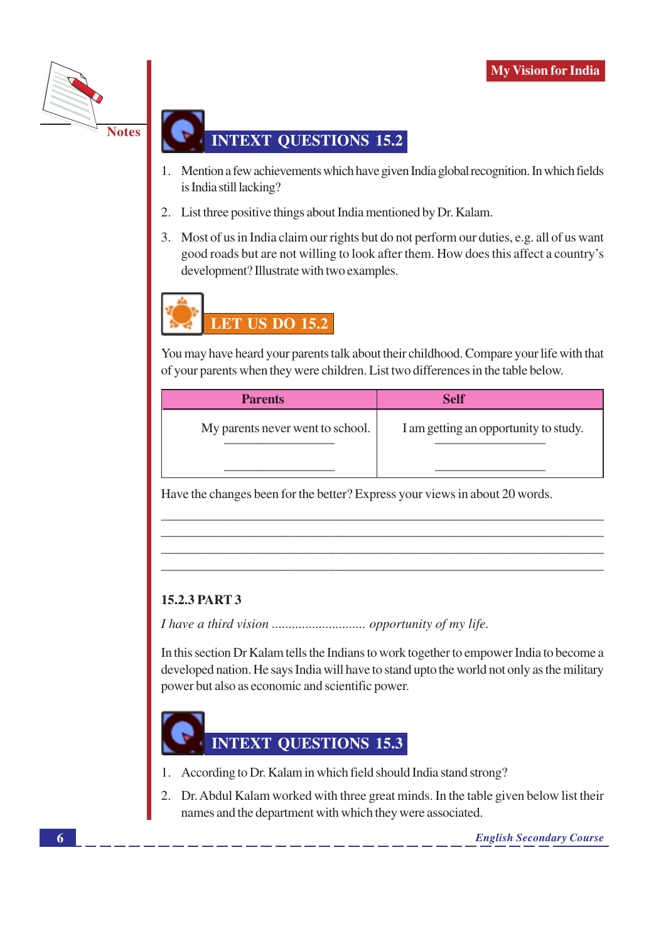

### **INTEXT OUESTIONS 15.2**

- 1. Mention a few achievements which have given India global recognition. In which fields is India still lacking?
- 2. List three positive things about India mentioned by Dr. Kalam.
- 3. Most of us in India claim our rights but do not perform our duties, e.g. all of us want good roads but are not willing to look after them. How does this affect a country's development? Illustrate with two examples.



You may have heard your parents talk about their childhood. Compare your life with that of your parents when they were children. List two differences in the table below.

| <b>Parents</b>                   | <b>Self</b>                           |
|----------------------------------|---------------------------------------|
| My parents never went to school. | I am getting an opportunity to study. |
|                                  |                                       |

Have the changes been for the better? Express your views in about 20 words.

### **15.2.3 PART 3**

In this section Dr Kalam tells the Indians to work together to empower India to become a developed nation. He says India will have to stand upto the world not only as the military power but also as economic and scientific power.



- 1. According to Dr. Kalam in which field should India stand strong?
- 2. Dr. Abdul Kalam worked with three great minds. In the table given below list their names and the department with which they were associated.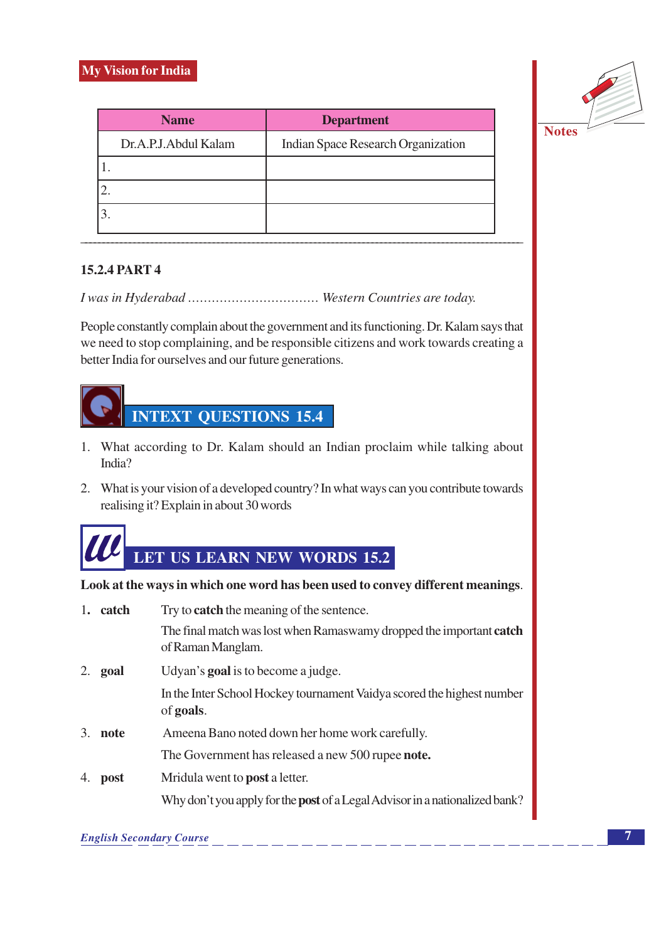

| <b>Name</b>          | <b>Department</b>                  |
|----------------------|------------------------------------|
| Dr.A.P.J.Abdul Kalam | Indian Space Research Organization |
|                      |                                    |
|                      |                                    |
|                      |                                    |

### **15.2.4 PART 4**

People constantly complain about the government and its functioning. Dr. Kalam says that we need to stop complaining, and be responsible citizens and work towards creating a better India for ourselves and our future generations.



- 1. What according to Dr. Kalam should an Indian proclaim while talking about India?
- 2. What is your vision of a developed country? In what ways can you contribute towards realising it? Explain in about 30 words



Look at the ways in which one word has been used to convey different meanings.

| 1. | catch | Try to <b>catch</b> the meaning of the sentence.                                         |  |  |
|----|-------|------------------------------------------------------------------------------------------|--|--|
|    |       | The final match was lost when Ramaswamy dropped the important catch<br>of Raman Manglam. |  |  |
| 2. | goal  | Udyan's <b>goal</b> is to become a judge.                                                |  |  |
|    |       | In the Inter School Hockey tournament Vaidya scored the highest number<br>of goals.      |  |  |
| 3. | note  | Ameena Bano noted down her home work carefully.                                          |  |  |
|    |       | The Government has released a new 500 rupee <b>note.</b>                                 |  |  |
| 4. | post  | Mridula went to <b>post</b> a letter.                                                    |  |  |
|    |       | Why don't you apply for the <b>post</b> of a Legal Advisor in a nationalized bank?       |  |  |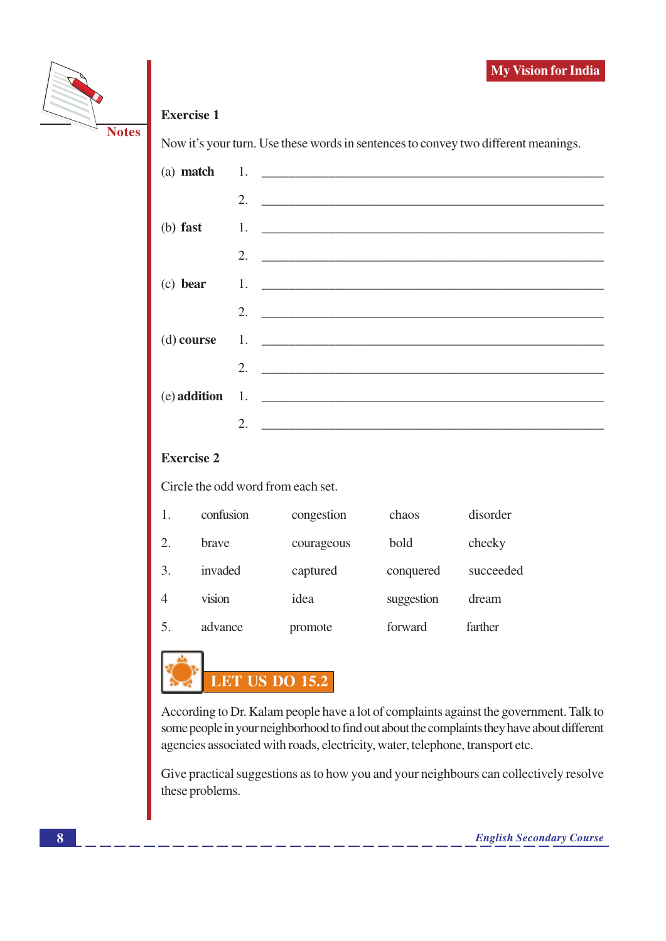



### **Exercise 1**

Now it's your turn. Use these words in sentences to convey two different meanings.

|    | 2. $\qquad \qquad$          |
|----|-----------------------------|
|    |                             |
|    | 2. $\qquad \qquad$          |
|    | (c) bear 1.                 |
|    | 2. $\overline{\phantom{a}}$ |
|    |                             |
|    | 2.                          |
|    | $(e)$ addition 1.           |
| 2. |                             |

### **Exercise 2**

Circle the odd word from each set.

|                | confusion    | congestion | chaos      | disorder  |
|----------------|--------------|------------|------------|-----------|
| 2.             | <b>brave</b> | courageous | bold       | cheeky    |
| 3.             | invaded      | captured   | conquered  | succeeded |
| $\overline{4}$ | vision       | idea       | suggestion | dream     |
| 5.             | advance      | promote    | forward    | farther   |



According to Dr. Kalam people have a lot of complaints against the government. Talk to some people in your neighborhood to find out about the complaints they have about different agencies associated with roads, electricity, water, telephone, transport etc.

Give practical suggestions as to how you and your neighbours can collectively resolve these problems.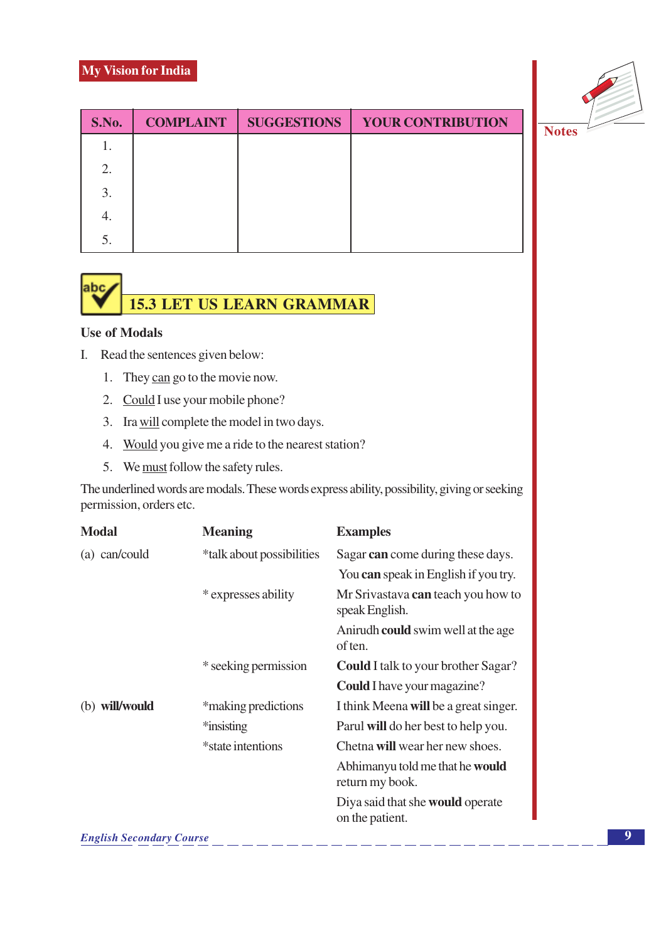### **My Vision for India**



| S.No. | <b>COMPLAINT</b> | <b>SUGGESTIONS</b> | <b>YOUR CONTRIBUTION</b> |
|-------|------------------|--------------------|--------------------------|
|       |                  |                    |                          |
| 2.    |                  |                    |                          |
| 3.    |                  |                    |                          |
| ч.    |                  |                    |                          |
| 5.    |                  |                    |                          |



### **Use of Modals**

- I. Read the sentences given below:
	- 1. They can go to the movie now.
	- 2. Could I use your mobile phone?
	- 3. Ira will complete the model in two days.
	- 4. Would you give me a ride to the nearest station?
	- 5. We must follow the safety rules.

The underlined words are modals. These words express ability, possibility, giving or seeking permission, orders etc.

| <b>Meaning</b>            | <b>Examples</b>                                      |
|---------------------------|------------------------------------------------------|
| *talk about possibilities | Sagar can come during these days.                    |
|                           | You can speak in English if you try.                 |
| * expresses ability       | Mr Srivastava can teach you how to<br>speak English. |
|                           | Anirudh <b>could</b> swim well at the age<br>of ten. |
| * seeking permission      | <b>Could</b> I talk to your brother Sagar?           |
|                           | <b>Could</b> I have your magazine?                   |
| *making predictions       | I think Meena will be a great singer.                |
| *insisting                | Parul will do her best to help you.                  |
| *state intentions         | Chetna will wear her new shoes.                      |
|                           | Abhimanyu told me that he would<br>return my book.   |
|                           | Diya said that she would operate<br>on the patient.  |
|                           |                                                      |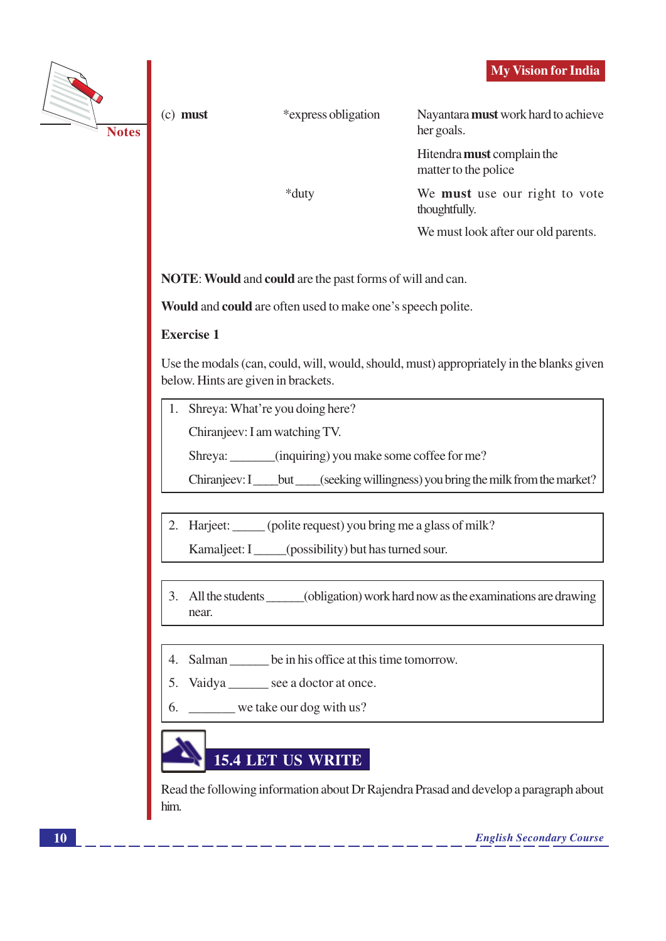|                                       |                                                                                                                                              |                                                                  | <b>My Vision for India</b>                                                            |  |
|---------------------------------------|----------------------------------------------------------------------------------------------------------------------------------------------|------------------------------------------------------------------|---------------------------------------------------------------------------------------|--|
| <b>Notes</b>                          | $(c)$ must                                                                                                                                   | *express obligation                                              | Nayantara must work hard to achieve<br>her goals.                                     |  |
|                                       |                                                                                                                                              |                                                                  | Hitendra must complain the<br>matter to the police                                    |  |
|                                       |                                                                                                                                              | *duty                                                            | We must use our right to vote<br>thoughtfully.                                        |  |
|                                       |                                                                                                                                              |                                                                  | We must look after our old parents.                                                   |  |
|                                       |                                                                                                                                              | <b>NOTE:</b> Would and could are the past forms of will and can. |                                                                                       |  |
|                                       | Would and could are often used to make one's speech polite.                                                                                  |                                                                  |                                                                                       |  |
|                                       | <b>Exercise 1</b>                                                                                                                            |                                                                  |                                                                                       |  |
|                                       | Use the modals (can, could, will, would, should, must) appropriately in the blanks given<br>below. Hints are given in brackets.              |                                                                  |                                                                                       |  |
| Shreya: What're you doing here?<br>1. |                                                                                                                                              |                                                                  |                                                                                       |  |
|                                       | Chiranjeev: I am watching TV.                                                                                                                |                                                                  |                                                                                       |  |
|                                       | Shreya: ______(inquiring) you make some coffee for me?<br>Chiranjeev: I____but ____(seeking willingness) you bring the milk from the market? |                                                                  |                                                                                       |  |
|                                       |                                                                                                                                              |                                                                  |                                                                                       |  |
|                                       | 2.                                                                                                                                           | Harjeet: _____ (polite request) you bring me a glass of milk?    |                                                                                       |  |
|                                       | Kamaljeet: I____(possibility) but has turned sour.                                                                                           |                                                                  |                                                                                       |  |
|                                       | 3.<br>near.                                                                                                                                  |                                                                  | All the students _______(obligation) work hard now as the examinations are drawing    |  |
|                                       | 4.                                                                                                                                           | Salman _______ be in his office at this time tomorrow.           |                                                                                       |  |
|                                       | 5.                                                                                                                                           | Vaidya _______ see a doctor at once.                             |                                                                                       |  |
|                                       | 6.                                                                                                                                           | we take our dog with us?                                         |                                                                                       |  |
|                                       | him.                                                                                                                                         | <b>15.4 LET US WRITE</b>                                         | Read the following information about Dr Rajendra Prasad and develop a paragraph about |  |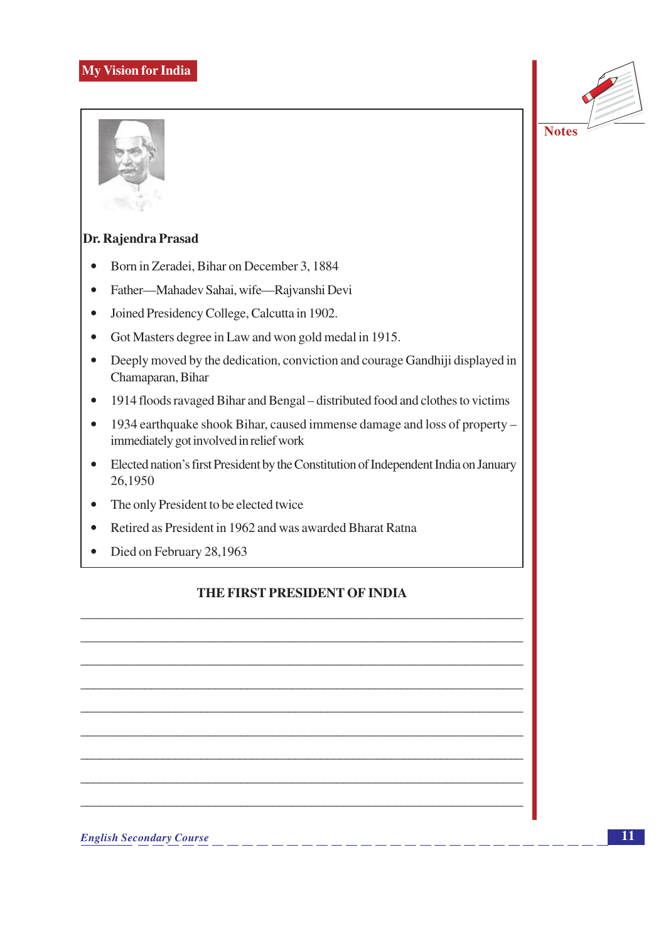### **My Vision for India**



### Dr. Rajendra Prasad

- Born in Zeradei, Bihar on December 3, 1884  $\bullet$
- $\bullet$ Father—Mahadev Sahai, wife—Rajvanshi Devi
- Joined Presidency College, Calcutta in 1902.  $\bullet$
- Got Masters degree in Law and won gold medal in 1915.  $\bullet$
- Deeply moved by the dedication, conviction and courage Gandhiji displayed in  $\bullet$ Chamaparan, Bihar
- 1914 floods ravaged Bihar and Bengal distributed food and clothes to victims  $\bullet$
- $\bullet$ 1934 earthquake shook Bihar, caused immense damage and loss of property immediately got involved in relief work
- Elected nation's first President by the Constitution of Independent India on January 26,1950
- The only President to be elected twice  $\bullet$
- Retired as President in 1962 and was awarded Bharat Ratna  $\bullet$
- Died on February 28,1963  $\bullet$

### THE FIRST PRESIDENT OF INDIA

**English Secondary Course**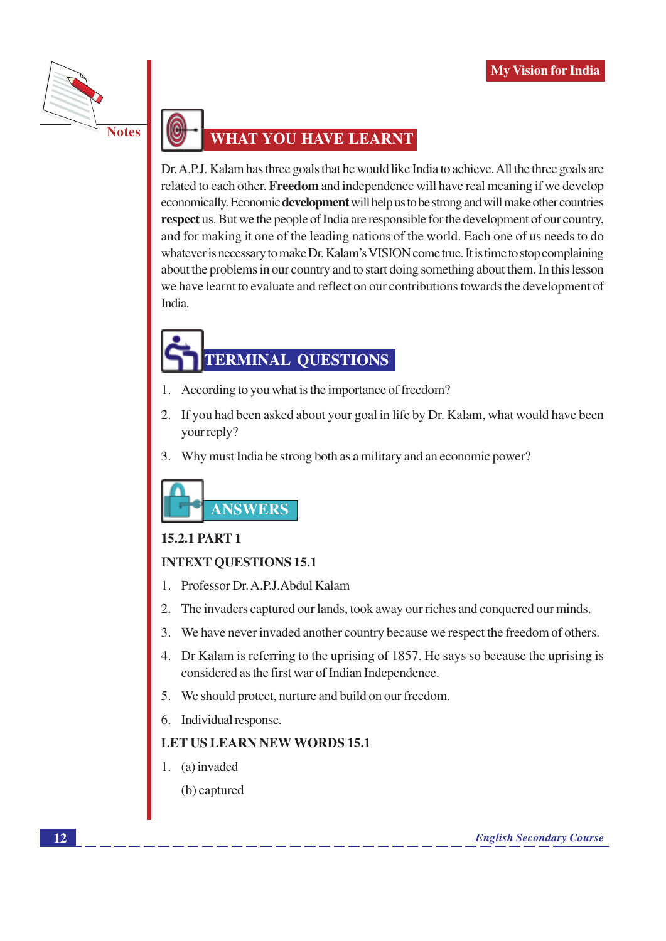

### **WHAT YOU HAVE LEARNT**

Dr. A.P.J. Kalam has three goals that he would like India to achieve. All the three goals are related to each other. Freedom and independence will have real meaning if we develop economically. Economic **development** will help us to be strong and will make other countries respect us. But we the people of India are responsible for the development of our country, and for making it one of the leading nations of the world. Each one of us needs to do whatever is necessary to make Dr. Kalam's VISION come true. It is time to stop complaining about the problems in our country and to start doing something about them. In this lesson we have learnt to evaluate and reflect on our contributions towards the development of India.

# **TERMINAL QUESTIONS**

- According to you what is the importance of freedom? 1.
- 2. If you had been asked about your goal in life by Dr. Kalam, what would have been your reply?
- 3. Why must India be strong both as a military and an economic power?



### **15.2.1 PART 1**

### **INTEXT OUESTIONS 15.1**

- 1. Professor Dr. A.P.J. Abdul Kalam
- $\overline{2}$ . The invaders captured our lands, took away our riches and conquered our minds.
- 3. We have never invaded another country because we respect the freedom of others.
- 4. Dr Kalam is referring to the uprising of 1857. He says so because the uprising is considered as the first war of Indian Independence.
- 5. We should protect, nurture and build on our freedom.
- 6. Individual response.

### **LET US LEARN NEW WORDS 15.1**

- 1. (a) invaded
	- (b) captured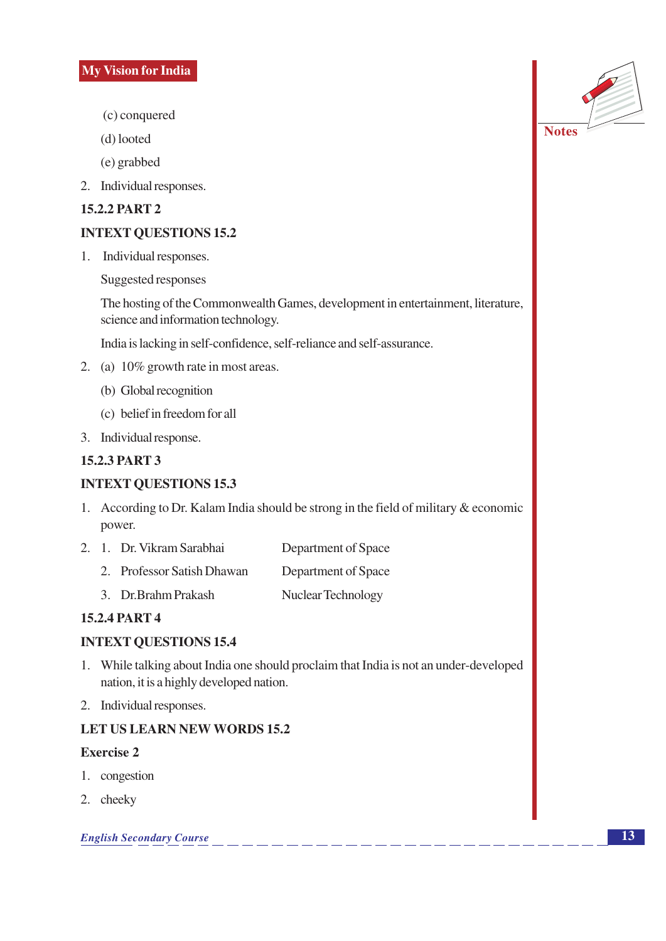- (c) conquered
- (d) looted

(e) grabbed

2. Individual responses.

### **15.2.2 PART 2**

### **INTEXT QUESTIONS 15.2**

1. Individual responses.

Suggested responses

The hosting of the Commonwealth Games, development in entertainment, literature, science and information technology.

India is lacking in self-confidence, self-reliance and self-assurance.

- 2. (a) 10% growth rate in most areas.
	- (b) Global recognition
	- (c) belief in freedom for all
- 3. Individual response.

### **15.2.3 PART 3**

### **INTEXT QUESTIONS 15.3**

- 1. According to Dr. Kalam India should be strong in the field of military  $\&$  economic power.
- 2. 1. Dr. Vikram Sarabhai Department of Space
	- 2. Professor Satish Dhawan Department of Space
	- 3. Dr.Brahm Prakash Nuclear Technology

### **15.2.4 PART 4**

### **INTEXT QUESTIONS 15.4**

- 1. While talking about India one should proclaim that India is not an under-developed nation, it is a highly developed nation.
- 2. Individual responses.

### **LET US LEARN NEW WORDS 15.2**

### **Exercise 2**

- 1. congestion
- 2. cheeky

#### **English Secondary Course**